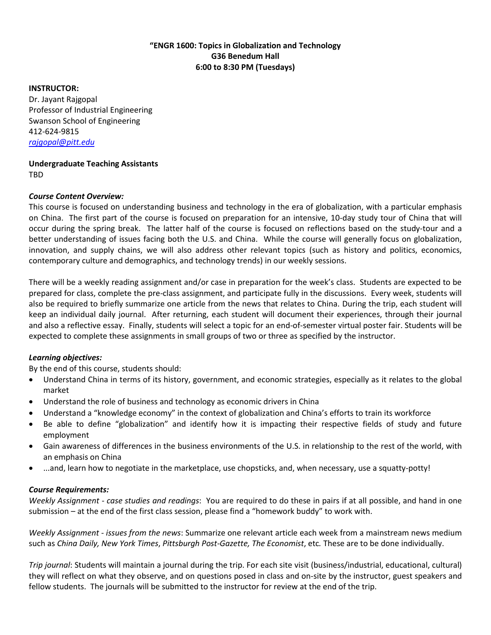## **"ENGR 1600: Topics in Globalization and Technology G36 Benedum Hall 6:00 to 8:30 PM (Tuesdays)**

#### **INSTRUCTOR:**

Dr. Jayant Rajgopal Professor of Industrial Engineering Swanson School of Engineering 412-624-9815 *[rajgopal@pitt.edu](mailto:rajgopal@pitt.edu)*

**Undergraduate Teaching Assistants** TBD

## *Course Content Overview:*

This course is focused on understanding business and technology in the era of globalization, with a particular emphasis on China. The first part of the course is focused on preparation for an intensive, 10-day study tour of China that will occur during the spring break. The latter half of the course is focused on reflections based on the study-tour and a better understanding of issues facing both the U.S. and China. While the course will generally focus on globalization, innovation, and supply chains, we will also address other relevant topics (such as history and politics, economics, contemporary culture and demographics, and technology trends) in our weekly sessions.

There will be a weekly reading assignment and/or case in preparation for the week's class. Students are expected to be prepared for class, complete the pre-class assignment, and participate fully in the discussions. Every week, students will also be required to briefly summarize one article from the news that relates to China. During the trip, each student will keep an individual daily journal. After returning, each student will document their experiences, through their journal and also a reflective essay. Finally, students will select a topic for an end-of-semester virtual poster fair. Students will be expected to complete these assignments in small groups of two or three as specified by the instructor.

# *Learning objectives:*

By the end of this course, students should:

- Understand China in terms of its history, government, and economic strategies, especially as it relates to the global market
- Understand the role of business and technology as economic drivers in China
- Understand a "knowledge economy" in the context of globalization and China's efforts to train its workforce
- Be able to define "globalization" and identify how it is impacting their respective fields of study and future employment
- Gain awareness of differences in the business environments of the U.S. in relationship to the rest of the world, with an emphasis on China
- ...and, learn how to negotiate in the marketplace, use chopsticks, and, when necessary, use a squatty-potty!

# *Course Requirements:*

*Weekly Assignment - case studies and readings*:You are required to do these in pairs if at all possible, and hand in one submission – at the end of the first class session, please find a "homework buddy" to work with.

*Weekly Assignment - issues from the news*: Summarize one relevant article each week from a mainstream news medium such as *China Daily, New York Times*, *Pittsburgh Post-Gazette, The Economist*, etc*.* These are to be done individually.

*Trip journal*: Students will maintain a journal during the trip. For each site visit (business/industrial, educational, cultural) they will reflect on what they observe, and on questions posed in class and on-site by the instructor, guest speakers and fellow students. The journals will be submitted to the instructor for review at the end of the trip.